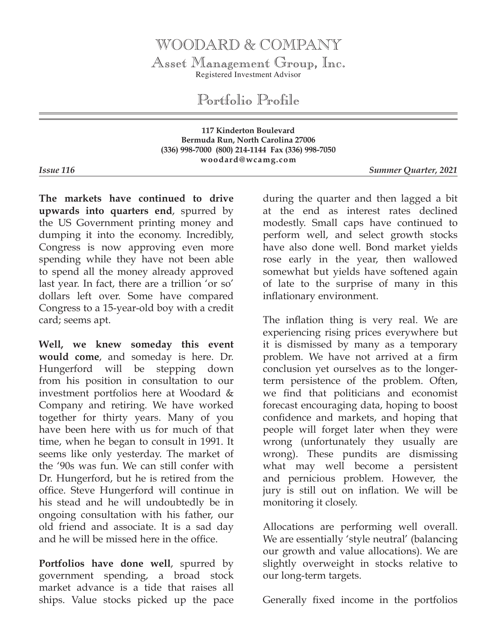## WOODARD & COMPANY

Asset Management Group, Inc. Registered Investment Advisor

Portfolio Profile

**117 Kinderton Boulevard Bermuda Run, North Carolina 27006 (336) 998-7000 (800) 214-1144 Fax (336) 998-7050 woodard@wcamg.com**

*Issue 116 Summer Quarter, 2021*

**The markets have continued to drive upwards into quarters end**, spurred by the US Government printing money and dumping it into the economy. Incredibly, Congress is now approving even more spending while they have not been able to spend all the money already approved last year. In fact, there are a trillion 'or so' dollars left over. Some have compared Congress to a 15-year-old boy with a credit card; seems apt.

**Well, we knew someday this event would come**, and someday is here. Dr. Hungerford will be stepping down from his position in consultation to our investment portfolios here at Woodard & Company and retiring. We have worked together for thirty years. Many of you have been here with us for much of that time, when he began to consult in 1991. It seems like only yesterday. The market of the '90s was fun. We can still confer with Dr. Hungerford, but he is retired from the office. Steve Hungerford will continue in his stead and he will undoubtedly be in ongoing consultation with his father, our old friend and associate. It is a sad day and he will be missed here in the office.

**Portfolios have done well**, spurred by government spending, a broad stock market advance is a tide that raises all ships. Value stocks picked up the pace

during the quarter and then lagged a bit at the end as interest rates declined modestly. Small caps have continued to perform well, and select growth stocks have also done well. Bond market yields rose early in the year, then wallowed somewhat but yields have softened again of late to the surprise of many in this inflationary environment.

The inflation thing is very real. We are experiencing rising prices everywhere but it is dismissed by many as a temporary problem. We have not arrived at a firm conclusion yet ourselves as to the longerterm persistence of the problem. Often, we find that politicians and economist forecast encouraging data, hoping to boost confidence and markets, and hoping that people will forget later when they were wrong (unfortunately they usually are wrong). These pundits are dismissing what may well become a persistent and pernicious problem. However, the jury is still out on inflation. We will be monitoring it closely.

Allocations are performing well overall. We are essentially 'style neutral' (balancing our growth and value allocations). We are slightly overweight in stocks relative to our long-term targets.

Generally fixed income in the portfolios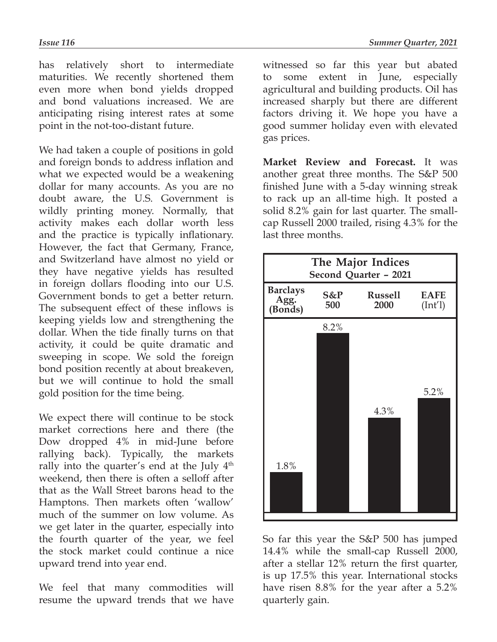has relatively short to intermediate maturities. We recently shortened them even more when bond yields dropped and bond valuations increased. We are anticipating rising interest rates at some point in the not-too-distant future.

We had taken a couple of positions in gold and foreign bonds to address inflation and what we expected would be a weakening dollar for many accounts. As you are no doubt aware, the U.S. Government is wildly printing money. Normally, that activity makes each dollar worth less and the practice is typically inflationary. However, the fact that Germany, France, and Switzerland have almost no yield or they have negative yields has resulted in foreign dollars flooding into our U.S. Government bonds to get a better return. The subsequent effect of these inflows is keeping yields low and strengthening the dollar. When the tide finally turns on that activity, it could be quite dramatic and sweeping in scope. We sold the foreign bond position recently at about breakeven, but we will continue to hold the small gold position for the time being.

We expect there will continue to be stock market corrections here and there (the Dow dropped 4% in mid-June before rallying back). Typically, the markets rally into the quarter's end at the July 4<sup>th</sup> weekend, then there is often a selloff after that as the Wall Street barons head to the Hamptons. Then markets often 'wallow' much of the summer on low volume. As we get later in the quarter, especially into the fourth quarter of the year, we feel the stock market could continue a nice upward trend into year end.

We feel that many commodities will resume the upward trends that we have

witnessed so far this year but abated to some extent in June, especially agricultural and building products. Oil has increased sharply but there are different factors driving it. We hope you have a good summer holiday even with elevated gas prices.

**Market Review and Forecast.** It was another great three months. The S&P 500 finished June with a 5-day winning streak to rack up an all-time high. It posted a solid 8.2% gain for last quarter. The smallcap Russell 2000 trailed, rising 4.3% for the last three months.



So far this year the S&P 500 has jumped 14.4% while the small-cap Russell 2000, after a stellar 12% return the first quarter, is up 17.5% this year. International stocks have risen 8.8% for the year after a 5.2% quarterly gain.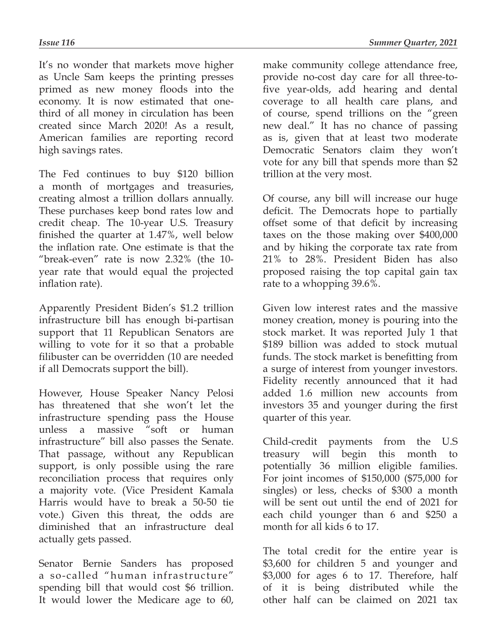It's no wonder that markets move higher as Uncle Sam keeps the printing presses primed as new money floods into the economy. It is now estimated that onethird of all money in circulation has been created since March 2020! As a result, American families are reporting record high savings rates.

The Fed continues to buy \$120 billion a month of mortgages and treasuries, creating almost a trillion dollars annually. These purchases keep bond rates low and credit cheap. The 10-year U.S. Treasury finished the quarter at 1.47%, well below the inflation rate. One estimate is that the "break-even" rate is now 2.32% (the 10 year rate that would equal the projected inflation rate).

Apparently President Biden's \$1.2 trillion infrastructure bill has enough bi-partisan support that 11 Republican Senators are willing to vote for it so that a probable filibuster can be overridden (10 are needed if all Democrats support the bill).

However, House Speaker Nancy Pelosi has threatened that she won't let the infrastructure spending pass the House unless a massive "soft or human infrastructure" bill also passes the Senate. That passage, without any Republican support, is only possible using the rare reconciliation process that requires only a majority vote. (Vice President Kamala Harris would have to break a 50-50 tie vote.) Given this threat, the odds are diminished that an infrastructure deal actually gets passed.

Senator Bernie Sanders has proposed a so-called "human infrastructure" spending bill that would cost \$6 trillion. It would lower the Medicare age to 60,

make community college attendance free, provide no-cost day care for all three-tofive year-olds, add hearing and dental coverage to all health care plans, and of course, spend trillions on the "green new deal." It has no chance of passing as is, given that at least two moderate Democratic Senators claim they won't vote for any bill that spends more than \$2 trillion at the very most.

Of course, any bill will increase our huge deficit. The Democrats hope to partially offset some of that deficit by increasing taxes on the those making over \$400,000 and by hiking the corporate tax rate from 21% to 28%. President Biden has also proposed raising the top capital gain tax rate to a whopping 39.6%.

Given low interest rates and the massive money creation, money is pouring into the stock market. It was reported July 1 that \$189 billion was added to stock mutual funds. The stock market is benefitting from a surge of interest from younger investors. Fidelity recently announced that it had added 1.6 million new accounts from investors 35 and younger during the first quarter of this year.

Child-credit payments from the U.S treasury will begin this month to potentially 36 million eligible families. For joint incomes of \$150,000 (\$75,000 for singles) or less, checks of \$300 a month will be sent out until the end of 2021 for each child younger than 6 and \$250 a month for all kids 6 to 17.

The total credit for the entire year is \$3,600 for children 5 and younger and \$3,000 for ages 6 to 17. Therefore, half of it is being distributed while the other half can be claimed on 2021 tax